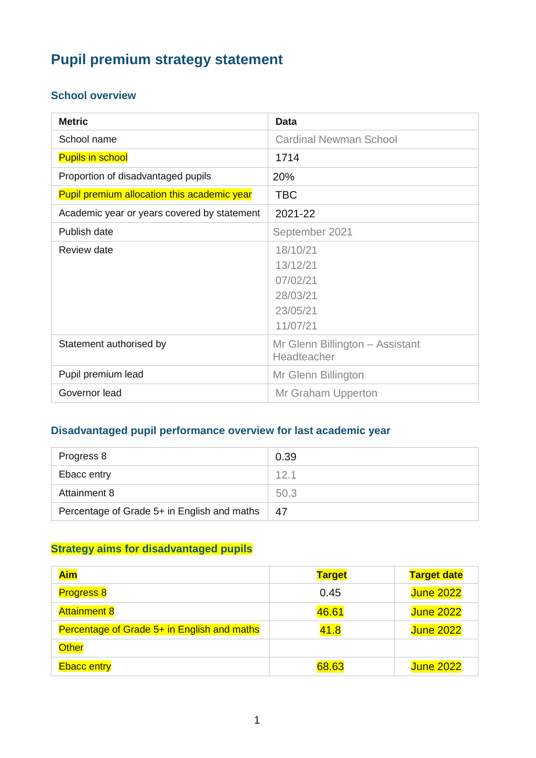# **Pupil premium strategy statement**

#### **School overview**

| <b>Metric</b>                               | <b>Data</b>                     |
|---------------------------------------------|---------------------------------|
| School name                                 | <b>Cardinal Newman School</b>   |
| <b>Pupils in school</b>                     | 1714                            |
| Proportion of disadvantaged pupils          | 20%                             |
| Pupil premium allocation this academic year | <b>TBC</b>                      |
| Academic year or years covered by statement | 2021-22                         |
| Publish date                                | September 2021                  |
| Review date                                 | 18/10/21                        |
|                                             | 13/12/21                        |
|                                             | 07/02/21                        |
|                                             | 28/03/21                        |
|                                             | 23/05/21                        |
|                                             | 11/07/21                        |
| Statement authorised by                     | Mr Glenn Billington - Assistant |
|                                             | Headteacher                     |
| Pupil premium lead                          | Mr Glenn Billington             |
| Governor lead                               | Mr Graham Upperton              |

#### **Disadvantaged pupil performance overview for last academic year**

| Progress 8                                  | 0.39 |
|---------------------------------------------|------|
| Ebacc entry                                 | 12.1 |
| Attainment 8                                | 50.3 |
| Percentage of Grade 5+ in English and maths | 47   |

#### **Strategy aims for disadvantaged pupils**

| <b>Aim</b>                                  | <b>Target</b> | <b>Target date</b> |
|---------------------------------------------|---------------|--------------------|
| <b>Progress 8</b>                           | 0.45          | <b>June 2022</b>   |
| <b>Attainment 8</b>                         | 46.61         | <b>June 2022</b>   |
| Percentage of Grade 5+ in English and maths | 41.8          | <b>June 2022</b>   |
| <b>Other</b>                                |               |                    |
| <b>Ebacc entry</b>                          | 68.63         | <b>June 2022</b>   |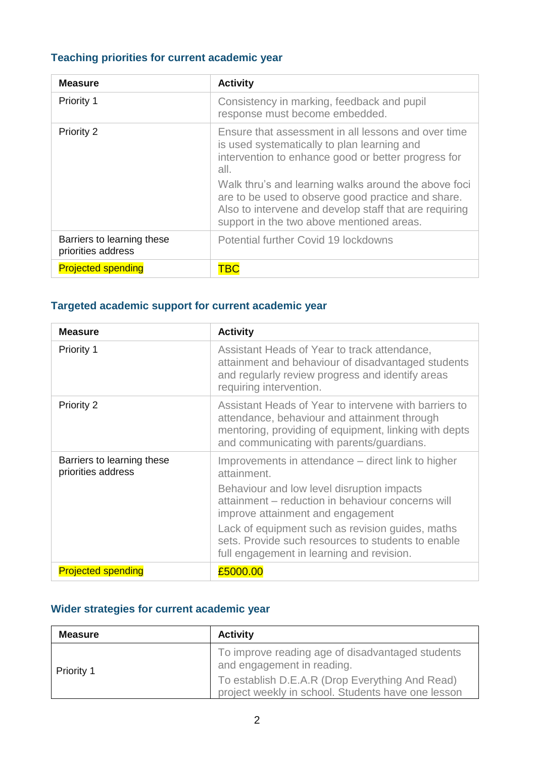### **Teaching priorities for current academic year**

| <b>Measure</b>                                   | <b>Activity</b>                                                                                                                                                                                                                                                                                                                                                                        |
|--------------------------------------------------|----------------------------------------------------------------------------------------------------------------------------------------------------------------------------------------------------------------------------------------------------------------------------------------------------------------------------------------------------------------------------------------|
| Priority 1                                       | Consistency in marking, feedback and pupil<br>response must become embedded.                                                                                                                                                                                                                                                                                                           |
| Priority 2                                       | Ensure that assessment in all lessons and over time<br>is used systematically to plan learning and<br>intervention to enhance good or better progress for<br>all.<br>Walk thru's and learning walks around the above foci<br>are to be used to observe good practice and share.<br>Also to intervene and develop staff that are requiring<br>support in the two above mentioned areas. |
| Barriers to learning these<br>priorities address | Potential further Covid 19 lockdowns                                                                                                                                                                                                                                                                                                                                                   |
| <b>Projected spending</b>                        | "BC                                                                                                                                                                                                                                                                                                                                                                                    |

### **Targeted academic support for current academic year**

| <b>Measure</b>                                   | <b>Activity</b>                                                                                                                                                                                                                                                                                                                                                  |
|--------------------------------------------------|------------------------------------------------------------------------------------------------------------------------------------------------------------------------------------------------------------------------------------------------------------------------------------------------------------------------------------------------------------------|
| <b>Priority 1</b>                                | Assistant Heads of Year to track attendance,<br>attainment and behaviour of disadvantaged students<br>and regularly review progress and identify areas<br>requiring intervention.                                                                                                                                                                                |
| <b>Priority 2</b>                                | Assistant Heads of Year to intervene with barriers to<br>attendance, behaviour and attainment through<br>mentoring, providing of equipment, linking with depts<br>and communicating with parents/guardians.                                                                                                                                                      |
| Barriers to learning these<br>priorities address | Improvements in attendance – direct link to higher<br>attainment.<br>Behaviour and low level disruption impacts<br>attainment - reduction in behaviour concerns will<br>improve attainment and engagement<br>Lack of equipment such as revision guides, maths<br>sets. Provide such resources to students to enable<br>full engagement in learning and revision. |
| <b>Projected spending</b>                        | £5000.00                                                                                                                                                                                                                                                                                                                                                         |

### **Wider strategies for current academic year**

| <b>Measure</b>    | <b>Activity</b>                                                                                       |
|-------------------|-------------------------------------------------------------------------------------------------------|
| <b>Priority 1</b> | To improve reading age of disadvantaged students<br>and engagement in reading.                        |
|                   | To establish D.E.A.R (Drop Everything And Read)<br>project weekly in school. Students have one lesson |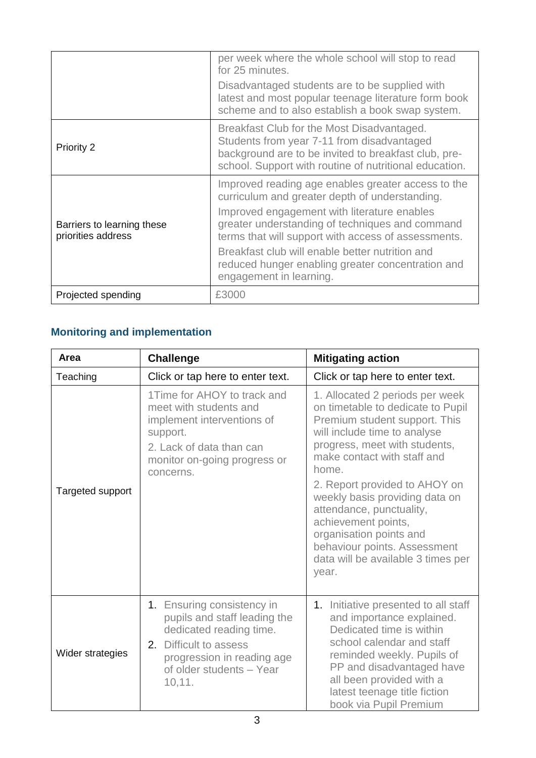|                                                  | per week where the whole school will stop to read<br>for 25 minutes.<br>Disadvantaged students are to be supplied with<br>latest and most popular teenage literature form book<br>scheme and to also establish a book swap system.                                                                                                                                                               |
|--------------------------------------------------|--------------------------------------------------------------------------------------------------------------------------------------------------------------------------------------------------------------------------------------------------------------------------------------------------------------------------------------------------------------------------------------------------|
| Priority 2                                       | Breakfast Club for the Most Disadvantaged.<br>Students from year 7-11 from disadvantaged<br>background are to be invited to breakfast club, pre-<br>school. Support with routine of nutritional education.                                                                                                                                                                                       |
| Barriers to learning these<br>priorities address | Improved reading age enables greater access to the<br>curriculum and greater depth of understanding.<br>Improved engagement with literature enables<br>greater understanding of techniques and command<br>terms that will support with access of assessments.<br>Breakfast club will enable better nutrition and<br>reduced hunger enabling greater concentration and<br>engagement in learning. |
| Projected spending                               | £3000                                                                                                                                                                                                                                                                                                                                                                                            |

## **Monitoring and implementation**

| Area             | <b>Challenge</b>                                                                                                                                                                       | <b>Mitigating action</b>                                                                                                                                                                                                                                                                                                                                                                                                                       |  |
|------------------|----------------------------------------------------------------------------------------------------------------------------------------------------------------------------------------|------------------------------------------------------------------------------------------------------------------------------------------------------------------------------------------------------------------------------------------------------------------------------------------------------------------------------------------------------------------------------------------------------------------------------------------------|--|
| Teaching         | Click or tap here to enter text.                                                                                                                                                       | Click or tap here to enter text.                                                                                                                                                                                                                                                                                                                                                                                                               |  |
| Targeted support | 1Time for AHOY to track and<br>meet with students and<br>implement interventions of<br>support.<br>2. Lack of data than can<br>monitor on-going progress or<br>concerns.               | 1. Allocated 2 periods per week<br>on timetable to dedicate to Pupil<br>Premium student support. This<br>will include time to analyse<br>progress, meet with students,<br>make contact with staff and<br>home.<br>2. Report provided to AHOY on<br>weekly basis providing data on<br>attendance, punctuality,<br>achievement points,<br>organisation points and<br>behaviour points. Assessment<br>data will be available 3 times per<br>year. |  |
| Wider strategies | 1. Ensuring consistency in<br>pupils and staff leading the<br>dedicated reading time.<br>Difficult to assess<br>2.<br>progression in reading age<br>of older students - Year<br>10,11. | 1. Initiative presented to all staff<br>and importance explained.<br>Dedicated time is within<br>school calendar and staff<br>reminded weekly. Pupils of<br>PP and disadvantaged have<br>all been provided with a<br>latest teenage title fiction<br>book via Pupil Premium                                                                                                                                                                    |  |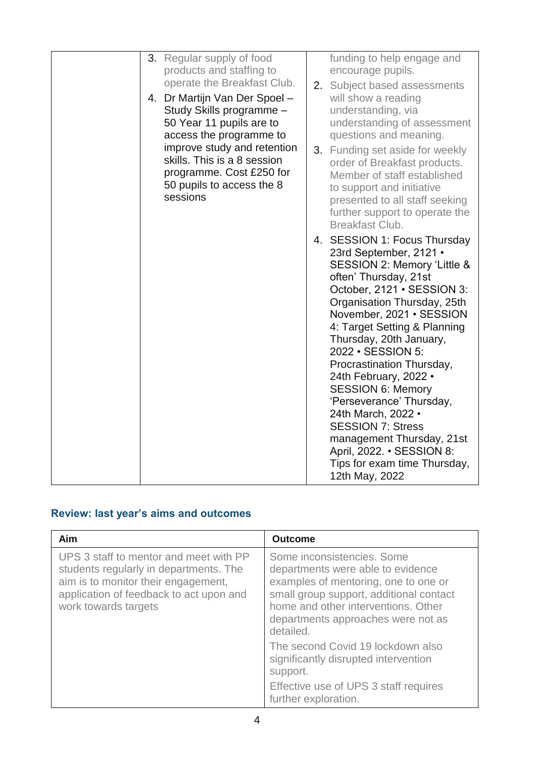| 3. Regular supply of food<br>products and staffing to<br>operate the Breakfast Club.<br>4. Dr Martijn Van Der Spoel -<br>Study Skills programme -<br>50 Year 11 pupils are to<br>access the programme to<br>improve study and retention<br>skills. This is a 8 session<br>programme. Cost £250 for<br>50 pupils to access the 8<br>sessions | funding to help engage and<br>encourage pupils.<br>2. Subject based assessments<br>will show a reading<br>understanding, via<br>understanding of assessment<br>questions and meaning.<br>3. Funding set aside for weekly<br>order of Breakfast products.<br>Member of staff established<br>to support and initiative<br>presented to all staff seeking<br>further support to operate the<br>Breakfast Club.<br>4. SESSION 1: Focus Thursday<br>23rd September, 2121 •<br>SESSION 2: Memory 'Little &<br>often' Thursday, 21st<br>October, 2121 · SESSION 3:<br>Organisation Thursday, 25th<br>November, 2021 · SESSION<br>4: Target Setting & Planning<br>Thursday, 20th January,<br>2022 • SESSION 5:<br>Procrastination Thursday,<br>24th February, 2022 •<br><b>SESSION 6: Memory</b><br>'Perseverance' Thursday,<br>24th March, 2022 •<br><b>SESSION 7: Stress</b><br>management Thursday, 21st<br>April, 2022. • SESSION 8:<br>Tips for exam time Thursday,<br>12th May, 2022 |
|---------------------------------------------------------------------------------------------------------------------------------------------------------------------------------------------------------------------------------------------------------------------------------------------------------------------------------------------|------------------------------------------------------------------------------------------------------------------------------------------------------------------------------------------------------------------------------------------------------------------------------------------------------------------------------------------------------------------------------------------------------------------------------------------------------------------------------------------------------------------------------------------------------------------------------------------------------------------------------------------------------------------------------------------------------------------------------------------------------------------------------------------------------------------------------------------------------------------------------------------------------------------------------------------------------------------------------------|

## **Review: last year's aims and outcomes**

| <b>Aim</b>                                                                                                                                                                                 | <b>Outcome</b>                                                                                                                                                                                                                               |
|--------------------------------------------------------------------------------------------------------------------------------------------------------------------------------------------|----------------------------------------------------------------------------------------------------------------------------------------------------------------------------------------------------------------------------------------------|
| UPS 3 staff to mentor and meet with PP<br>students regularly in departments. The<br>aim is to monitor their engagement,<br>application of feedback to act upon and<br>work towards targets | Some inconsistencies. Some<br>departments were able to evidence<br>examples of mentoring, one to one or<br>small group support, additional contact<br>home and other interventions. Other<br>departments approaches were not as<br>detailed. |
|                                                                                                                                                                                            | The second Covid 19 lockdown also<br>significantly disrupted intervention<br>support.                                                                                                                                                        |
|                                                                                                                                                                                            | Effective use of UPS 3 staff requires<br>further exploration.                                                                                                                                                                                |